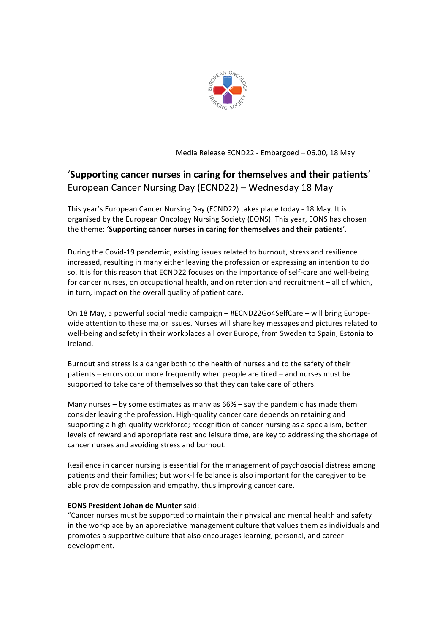

Media Release ECND22 - Embargoed - 06.00, 18 May

# 'Supporting cancer nurses in caring for themselves and their patients' European Cancer Nursing Day (ECND22) - Wednesday 18 May

This year's European Cancer Nursing Day (ECND22) takes place today - 18 May. It is organised by the European Oncology Nursing Society (EONS). This year, EONS has chosen the theme: 'Supporting cancer nurses in caring for themselves and their patients'.

During the Covid-19 pandemic, existing issues related to burnout, stress and resilience increased, resulting in many either leaving the profession or expressing an intention to do so. It is for this reason that ECND22 focuses on the importance of self-care and well-being for cancer nurses, on occupational health, and on retention and recruitment - all of which, in turn, impact on the overall quality of patient care.

On 18 May, a powerful social media campaign – #ECND22Go4SelfCare – will bring Europewide attention to these major issues. Nurses will share key messages and pictures related to well-being and safety in their workplaces all over Europe, from Sweden to Spain, Estonia to Ireland.

Burnout and stress is a danger both to the health of nurses and to the safety of their patients – errors occur more frequently when people are tired – and nurses must be supported to take care of themselves so that they can take care of others.

Many nurses – by some estimates as many as  $66\%$  – say the pandemic has made them consider leaving the profession. High-quality cancer care depends on retaining and supporting a high-quality workforce; recognition of cancer nursing as a specialism, better levels of reward and appropriate rest and leisure time, are key to addressing the shortage of cancer nurses and avoiding stress and burnout.

Resilience in cancer nursing is essential for the management of psychosocial distress among patients and their families; but work-life balance is also important for the caregiver to be able provide compassion and empathy, thus improving cancer care.

## **EONS President Johan de Munter said:**

"Cancer nurses must be supported to maintain their physical and mental health and safety in the workplace by an appreciative management culture that values them as individuals and promotes a supportive culture that also encourages learning, personal, and career development.